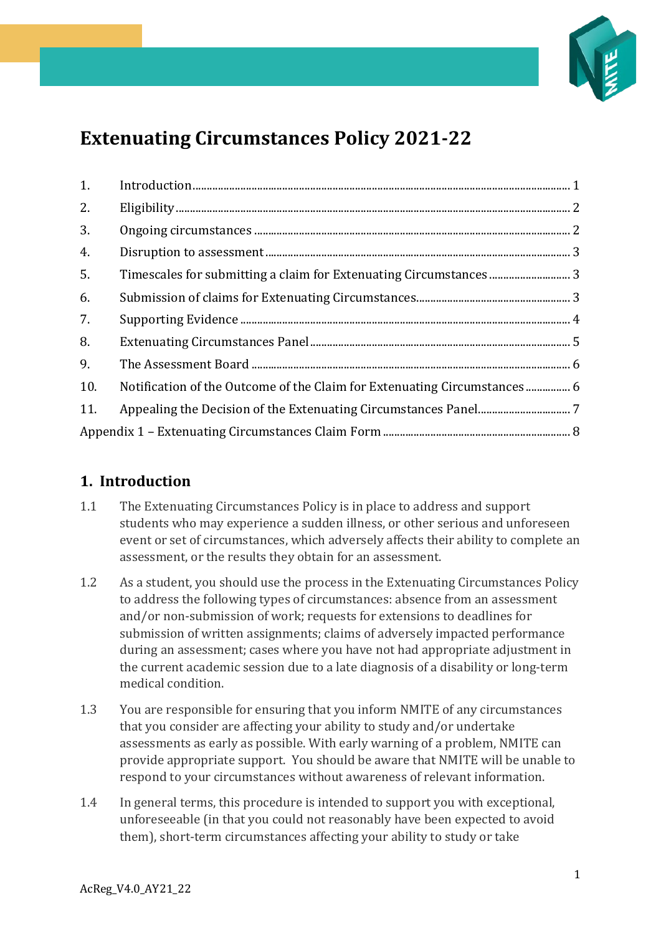

# **Extenuating Circumstances Policy 2021-22**

| 1.  |  |
|-----|--|
| 2.  |  |
| 3.  |  |
| 4.  |  |
| 5.  |  |
| 6.  |  |
| 7.  |  |
| 8.  |  |
| 9.  |  |
| 10. |  |
| 11. |  |
|     |  |

# <span id="page-0-0"></span>**1. Introduction**

- 1.1 The Extenuating Circumstances Policy is in place to address and support students who may experience a sudden illness, or other serious and unforeseen event or set of circumstances, which adversely affects their ability to complete an assessment, or the results they obtain for an assessment.
- 1.2 As a student, you should use the process in the Extenuating Circumstances Policy to address the following types of circumstances: absence from an assessment and/or non-submission of work; requests for extensions to deadlines for submission of written assignments; claims of adversely impacted performance during an assessment; cases where you have not had appropriate adjustment in the current academic session due to a late diagnosis of a disability or long-term medical condition.
- 1.3 You are responsible for ensuring that you inform NMITE of any circumstances that you consider are affecting your ability to study and/or undertake assessments as early as possible. With early warning of a problem, NMITE can provide appropriate support. You should be aware that NMITE will be unable to respond to your circumstances without awareness of relevant information.
- 1.4 In general terms, this procedure is intended to support you with exceptional, unforeseeable (in that you could not reasonably have been expected to avoid them), short-term circumstances affecting your ability to study or take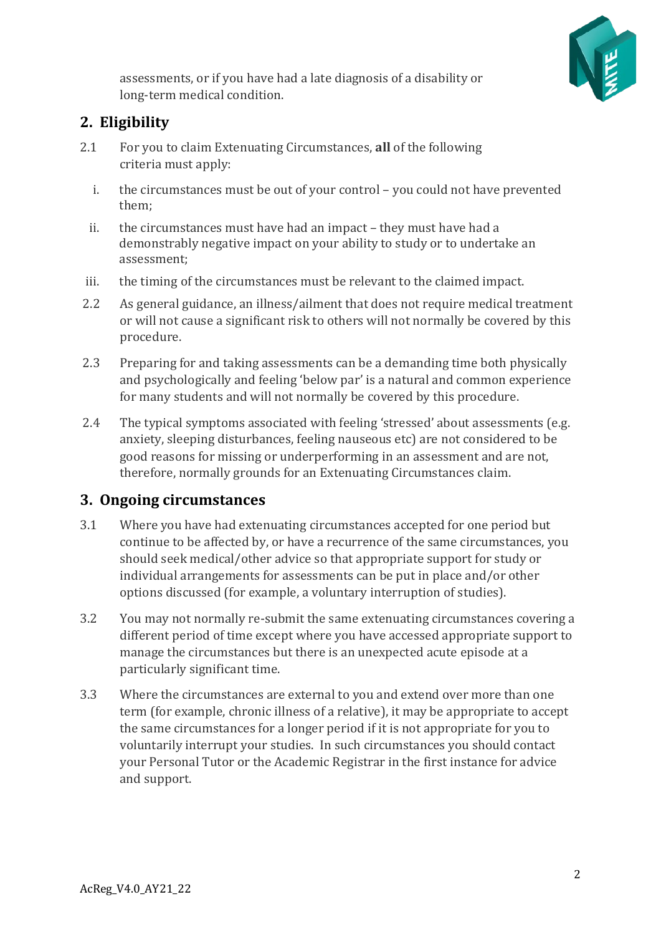

assessments, or if you have had a late diagnosis of a disability or long-term medical condition. 

# <span id="page-1-0"></span>**2. Eligibility**

- 2.1 For you to claim Extenuating Circumstances, **all** of the following criteria must apply:
	- i. the circumstances must be out of your control you could not have prevented them;
	- ii. the circumstances must have had an impact they must have had a demonstrably negative impact on your ability to study or to undertake an assessment;
- iii. the timing of the circumstances must be relevant to the claimed impact.
- 2.2 As general guidance, an illness/ailment that does not require medical treatment or will not cause a significant risk to others will not normally be covered by this procedure.
- 2.3 Preparing for and taking assessments can be a demanding time both physically and psychologically and feeling 'below par' is a natural and common experience for many students and will not normally be covered by this procedure.
- 2.4 The typical symptoms associated with feeling 'stressed' about assessments (e.g. anxiety, sleeping disturbances, feeling nauseous etc) are not considered to be good reasons for missing or underperforming in an assessment and are not, therefore, normally grounds for an Extenuating Circumstances claim.

### <span id="page-1-1"></span>**3. Ongoing circumstances**

- 3.1 Where you have had extenuating circumstances accepted for one period but continue to be affected by, or have a recurrence of the same circumstances, you should seek medical/other advice so that appropriate support for study or individual arrangements for assessments can be put in place and/or other options discussed (for example, a voluntary interruption of studies).
- 3.2 You may not normally re-submit the same extenuating circumstances covering a different period of time except where you have accessed appropriate support to manage the circumstances but there is an unexpected acute episode at a particularly significant time.
- 3.3 Where the circumstances are external to you and extend over more than one term (for example, chronic illness of a relative), it may be appropriate to accept the same circumstances for a longer period if it is not appropriate for you to voluntarily interrupt your studies. In such circumstances you should contact your Personal Tutor or the Academic Registrar in the first instance for advice and support.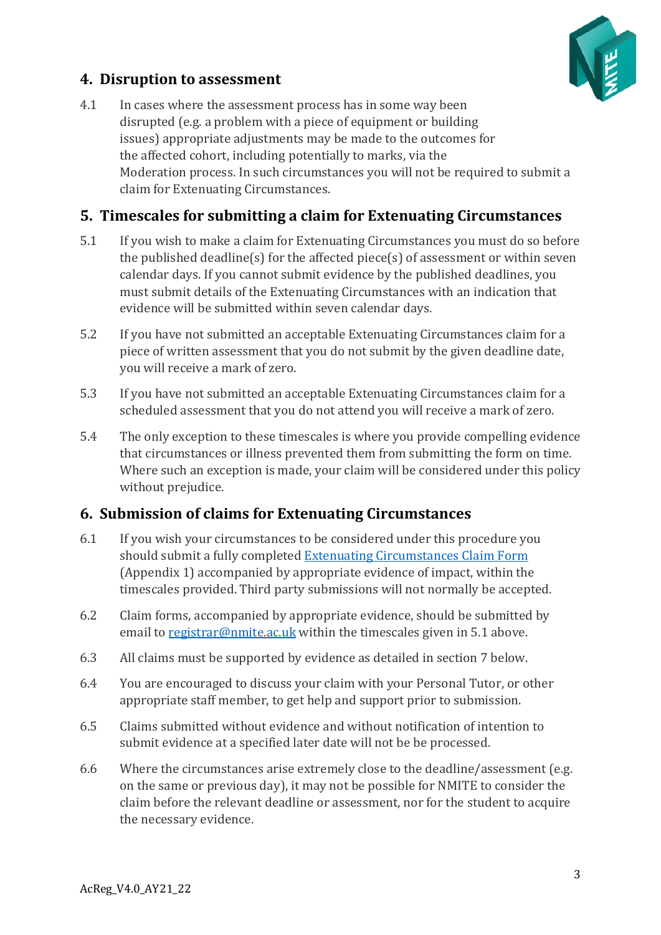

# <span id="page-2-0"></span>**4. Disruption to assessment**

4.1 In cases where the assessment process has in some way been disrupted (e.g. a problem with a piece of equipment or building issues) appropriate adjustments may be made to the outcomes for the affected cohort, including potentially to marks, via the Moderation process. In such circumstances you will not be required to submit a claim for Extenuating Circumstances.

# <span id="page-2-1"></span>**5. Timescales for submitting a claim for Extenuating Circumstances**

- 5.1 If you wish to make a claim for Extenuating Circumstances you must do so before the published deadline(s) for the affected piece(s) of assessment or within seven calendar days. If you cannot submit evidence by the published deadlines, you must submit details of the Extenuating Circumstances with an indication that evidence will be submitted within seven calendar days.
- 5.2 If you have not submitted an acceptable Extenuating Circumstances claim for a piece of written assessment that you do not submit by the given deadline date, you will receive a mark of zero.
- 5.3 If you have not submitted an acceptable Extenuating Circumstances claim for a scheduled assessment that you do not attend you will receive a mark of zero.
- 5.4 The only exception to these timescales is where you provide compelling evidence that circumstances or illness prevented them from submitting the form on time.  Where such an exception is made, your claim will be considered under this policy without prejudice.

# <span id="page-2-2"></span>**6. Submission of claims for Extenuating Circumstances**

- 6.1 If you wish your circumstances to be considered under this procedure you should submit a fully completed [Extenuating Circumstances Claim Form](#page-7-0) (Appendix 1) accompanied by appropriate evidence of impact, within the timescales provided. Third party submissions will not normally be accepted.
- 6.2 Claim forms, accompanied by appropriate evidence, should be submitted by email to [registrar@nmite.ac.uk](mailto:registrar@nmite.ac.uk) within the timescales given in 5.1 above.
- 6.3 All claims must be supported by evidence as detailed in section 7 below.
- 6.4 You are encouraged to discuss your claim with your Personal Tutor, or other appropriate staff member, to get help and support prior to submission.
- 6.5 Claims submitted without evidence and without notification of intention to submit evidence at a specified later date will not be be processed.
- 6.6 Where the circumstances arise extremely close to the deadline/assessment (e.g. on the same or previous day), it may not be possible for NMITE to consider the claim before the relevant deadline or assessment, nor for the student to acquire the necessary evidence.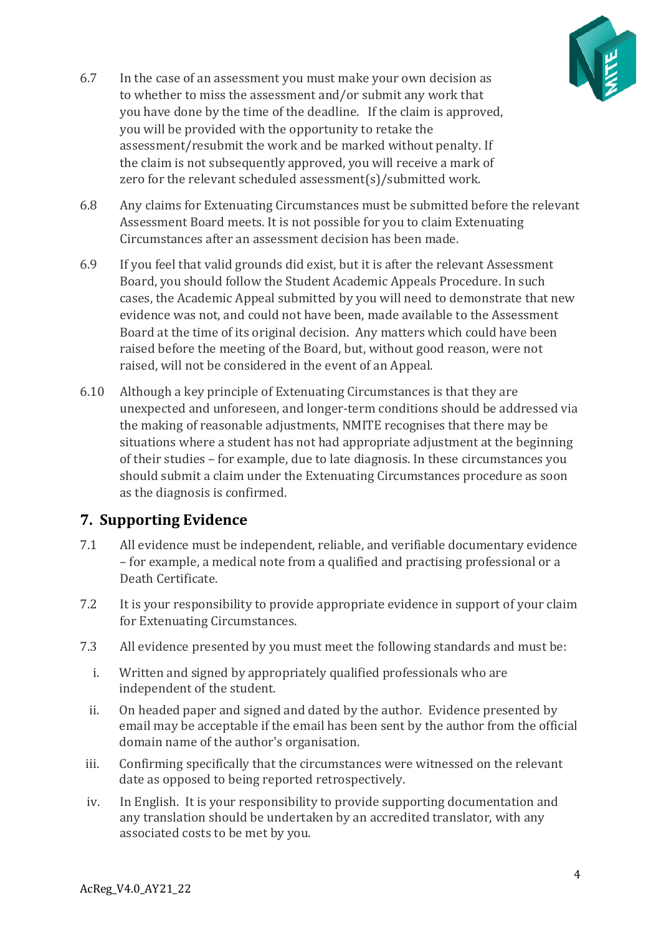

- 6.7 In the case of an assessment you must make your own decision as to whether to miss the assessment and/or submit any work that you have done by the time of the deadline.   If the claim is approved, you will be provided with the opportunity to retake the assessment/resubmit the work and be marked without penalty. If the claim is not subsequently approved, you will receive a mark of zero for the relevant scheduled assessment(s)/submitted work.
- 6.8 Any claims for Extenuating Circumstances must be submitted before the relevant Assessment Board meets. It is not possible for you to claim Extenuating Circumstances after an assessment decision has been made.
- 6.9 If you feel that valid grounds did exist, but it is after the relevant Assessment Board, you should follow the Student Academic Appeals Procedure. In such cases, the Academic Appeal submitted by you will need to demonstrate that new evidence was not, and could not have been, made available to the Assessment Board at the time of its original decision. Any matters which could have been raised before the meeting of the Board, but, without good reason, were not raised, will not be considered in the event of an Appeal.
- 6.10 Although a key principle of Extenuating Circumstances is that they are unexpected and unforeseen, and longer-term conditions should be addressed via the making of reasonable adjustments, NMITE recognises that there may be situations where a student has not had appropriate adjustment at the beginning of their studies – for example, due to late diagnosis. In these circumstances you should submit a claim under the Extenuating Circumstances procedure as soon as the diagnosis is confirmed.

## <span id="page-3-0"></span>**7. Supporting Evidence**

- 7.1 All evidence must be independent, reliable, and verifiable documentary evidence – for example, a medical note from a qualified and practising professional or a Death Certificate.
- 7.2 It is your responsibility to provide appropriate evidence in support of your claim for Extenuating Circumstances.
- 7.3 All evidence presented by you must meet the following standards and must be:
	- i. Written and signed by appropriately qualified professionals who are independent of the student.
	- ii. On headed paper and signed and dated by the author.  Evidence presented by email may be acceptable if the email has been sent by the author from the official domain name of the author's organisation.
- iii. Confirming specifically that the circumstances were witnessed on the relevant date as opposed to being reported retrospectively.
- iv. In English. It is your responsibility to provide supporting documentation and any translation should be undertaken by an accredited translator, with any associated costs to be met by you.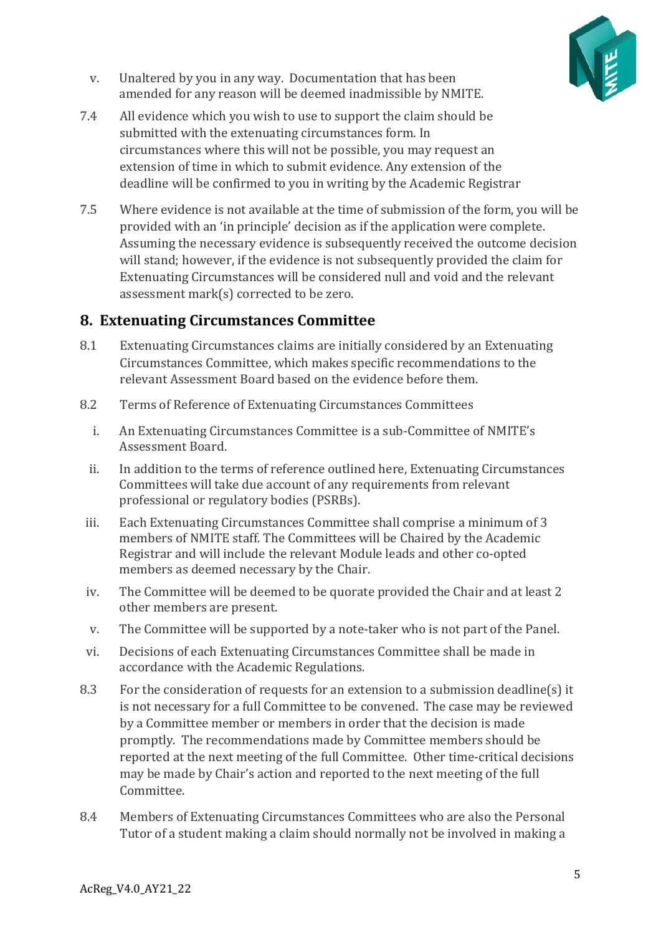

- v. Unaltered by you in any way.  Documentation that has been amended for any reason will be deemed inadmissible by NMITE.
- 7.4 All evidence which you wish to use to support the claim should be submitted with the extenuating circumstances form. In circumstances where this will not be possible, you may request an extension of time in which to submit evidence. Any extension of the deadline will be confirmed to you in writing by the Academic Registrar
- 7.5 Where evidence is not available at the time of submission of the form, you will be provided with an 'in principle' decision as if the application were complete. Assuming the necessary evidence is subsequently received the outcome decision will stand; however, if the evidence is not subsequently provided the claim for Extenuating Circumstances will be considered null and void and the relevant assessment mark(s) corrected to be zero.

## <span id="page-4-0"></span>**8. Extenuating Circumstances Committee**

- 8.1 Extenuating Circumstances claims are initially considered by an Extenuating Circumstances Committee, which makes specific recommendations to the relevant Assessment Board based on the evidence before them.
- 8.2 Terms of Reference of Extenuating Circumstances Committees
	- i. An Extenuating Circumstances Committee is a sub-Committee of NMITE's Assessment Board.
	- ii. In addition to the terms of reference outlined here, Extenuating Circumstances Committees will take due account of any requirements from relevant professional or regulatory bodies (PSRBs).
- iii. Each Extenuating Circumstances Committee shall comprise a minimum of 3 members of NMITE staff. The Committees will be Chaired by the Academic Registrar and will include the relevant Module leads and other co-opted members as deemed necessary by the Chair.
- iv. The Committee will be deemed to be quorate provided the Chair and at least 2 other members are present.
- v. The Committee will be supported by a note-taker who is not part of the Panel.
- vi. Decisions of each Extenuating Circumstances Committee shall be made in accordance with the Academic Regulations.
- 8.3 For the consideration of requests for an extension to a submission deadline(s) it is not necessary for a full Committee to be convened.  The case may be reviewed by a Committee member or members in order that the decision is made promptly.  The recommendations made by Committee members should be reported at the next meeting of the full Committee.  Other time-critical decisions may be made by Chair's action and reported to the next meeting of the full Committee.
- 8.4 Members of Extenuating Circumstances Committees who are also the Personal Tutor of a student making a claim should normally not be involved in making a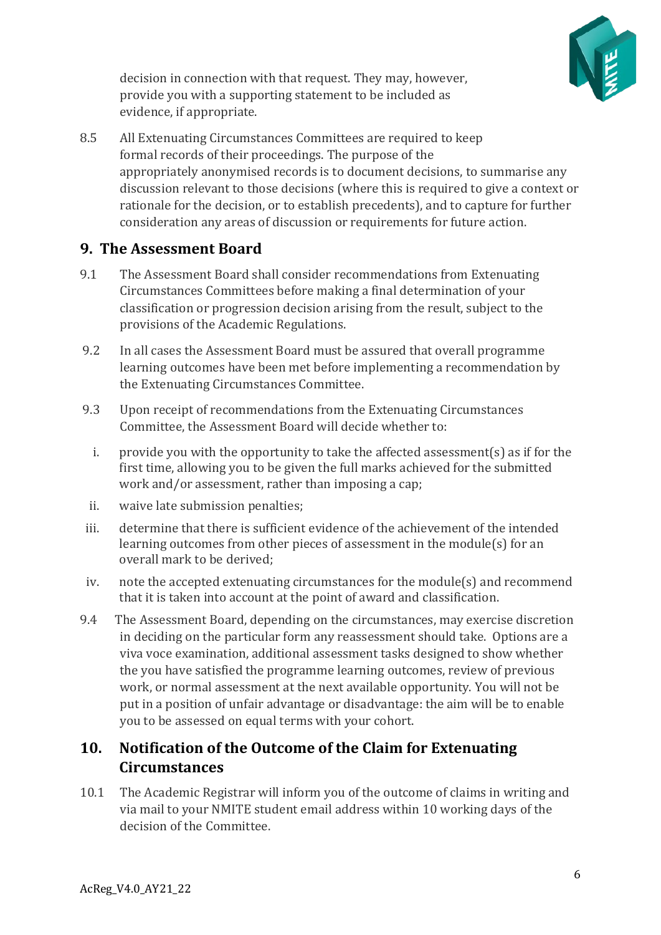

decision in connection with that request. They may, however, provide you with a supporting statement to be included as evidence, if appropriate.

8.5 All Extenuating Circumstances Committees are required to keep formal records of their proceedings. The purpose of the appropriately anonymised records is to document decisions, to summarise any discussion relevant to those decisions (where this is required to give a context or rationale for the decision, or to establish precedents), and to capture for further consideration any areas of discussion or requirements for future action.

## <span id="page-5-0"></span>**9. The Assessment Board**

- 9.1 The Assessment Board shall consider recommendations from Extenuating Circumstances Committees before making a final determination of your classification or progression decision arising from the result, subject to the provisions of the Academic Regulations.
- 9.2 In all cases the Assessment Board must be assured that overall programme learning outcomes have been met before implementing a recommendation by the Extenuating Circumstances Committee.
- 9.3 Upon receipt of recommendations from the Extenuating Circumstances Committee, the Assessment Board will decide whether to:
	- i. provide you with the opportunity to take the affected assessment(s) as if for the first time, allowing you to be given the full marks achieved for the submitted work and/or assessment, rather than imposing a cap;
	- ii. waive late submission penalties;
- iii. determine that there is sufficient evidence of the achievement of the intended learning outcomes from other pieces of assessment in the module(s) for an overall mark to be derived;
- iv. note the accepted extenuating circumstances for the module(s) and recommend that it is taken into account at the point of award and classification.
- 9.4 The Assessment Board, depending on the circumstances, may exercise discretion in deciding on the particular form any reassessment should take. Options are a viva voce examination, additional assessment tasks designed to show whether the you have satisfied the programme learning outcomes, review of previous work, or normal assessment at the next available opportunity. You will not be put in a position of unfair advantage or disadvantage: the aim will be to enable you to be assessed on equal terms with your cohort.

# <span id="page-5-1"></span>**10. Notification of the Outcome of the Claim for Extenuating Circumstances**

10.1 The Academic Registrar will inform you of the outcome of claims in writing and via mail to your NMITE student email address within 10 working days of the decision of the Committee.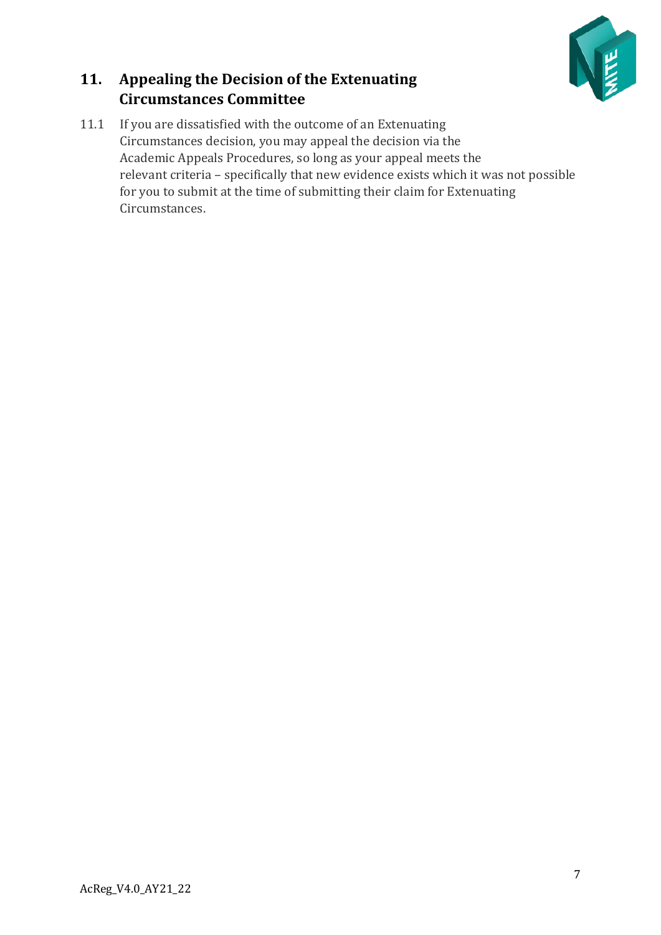

# <span id="page-6-0"></span>**11. Appealing the Decision of the Extenuating Circumstances Committee**

11.1 If you are dissatisfied with the outcome of an Extenuating Circumstances decision, you may appeal the decision via the Academic Appeals Procedures, so long as your appeal meets the relevant criteria – specifically that new evidence exists which it was not possible for you to submit at the time of submitting their claim for Extenuating Circumstances.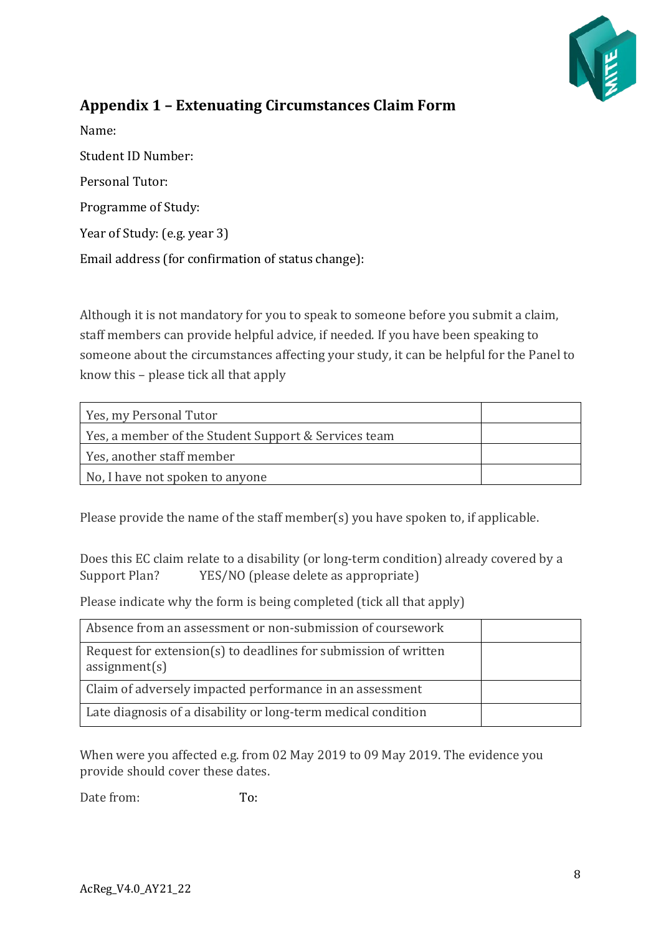

# <span id="page-7-0"></span>**Appendix 1 – Extenuating Circumstances Claim Form**

Name: Student ID Number: Personal Tutor: Programme of Study: Year of Study: (e.g. year 3) Email address (for confirmation of status change):

Although it is not mandatory for you to speak to someone before you submit a claim, staff members can provide helpful advice, if needed. If you have been speaking to someone about the circumstances affecting your study, it can be helpful for the Panel to know this – please tick all that apply

| Yes, my Personal Tutor                               |  |
|------------------------------------------------------|--|
| Yes, a member of the Student Support & Services team |  |
| Yes, another staff member                            |  |
| No, I have not spoken to anyone                      |  |

Please provide the name of the staff member(s) you have spoken to, if applicable.

Does this EC claim relate to a disability (or long-term condition) already covered by a Support Plan? YES/NO (please delete as appropriate)

Please indicate why the form is being completed (tick all that apply)

| Absence from an assessment or non-submission of coursework                       |  |
|----------------------------------------------------------------------------------|--|
| Request for extension(s) to deadlines for submission of written<br>assignment(s) |  |
| Claim of adversely impacted performance in an assessment                         |  |
| Late diagnosis of a disability or long-term medical condition                    |  |

When were you affected e.g. from 02 May 2019 to 09 May 2019. The evidence you provide should cover these dates.

Date from: To: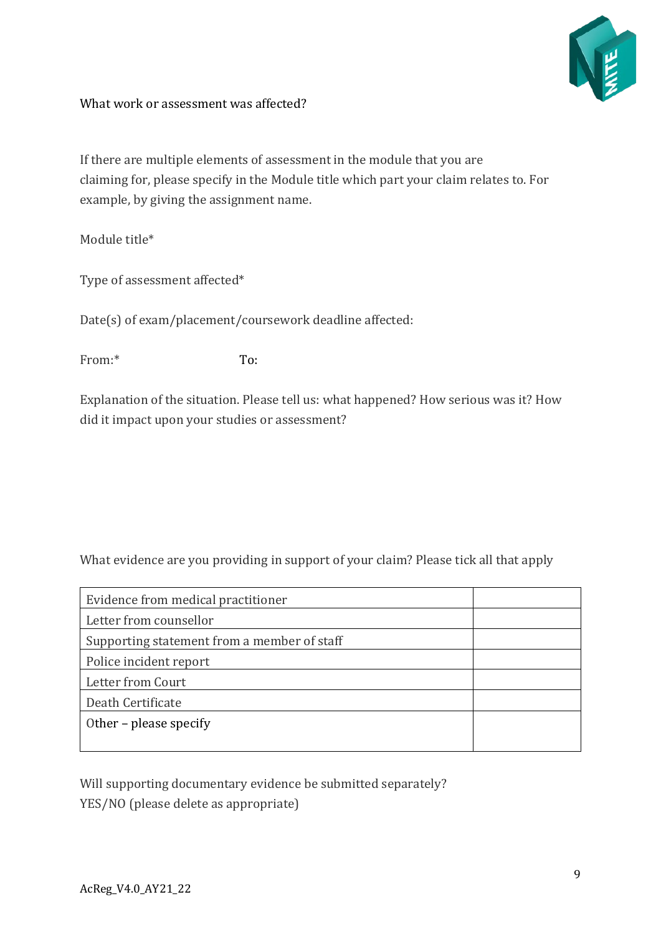

#### What work or assessment was affected?

If there are multiple elements of assessment in the module that you are claiming for, please specify in the Module title which part your claim relates to. For example, by giving the assignment name.

Module title\*

Type of assessment affected\*

Date(s) of exam/placement/coursework deadline affected:

From:\* To:

Explanation of the situation. Please tell us: what happened? How serious was it? How did it impact upon your studies or assessment?

What evidence are you providing in support of your claim? Please tick all that apply

| Evidence from medical practitioner          |  |  |
|---------------------------------------------|--|--|
| Letter from counsellor                      |  |  |
| Supporting statement from a member of staff |  |  |
| Police incident report                      |  |  |
| Letter from Court                           |  |  |
| Death Certificate                           |  |  |
| Other - please specify                      |  |  |
|                                             |  |  |

Will supporting documentary evidence be submitted separately? YES/NO (please delete as appropriate)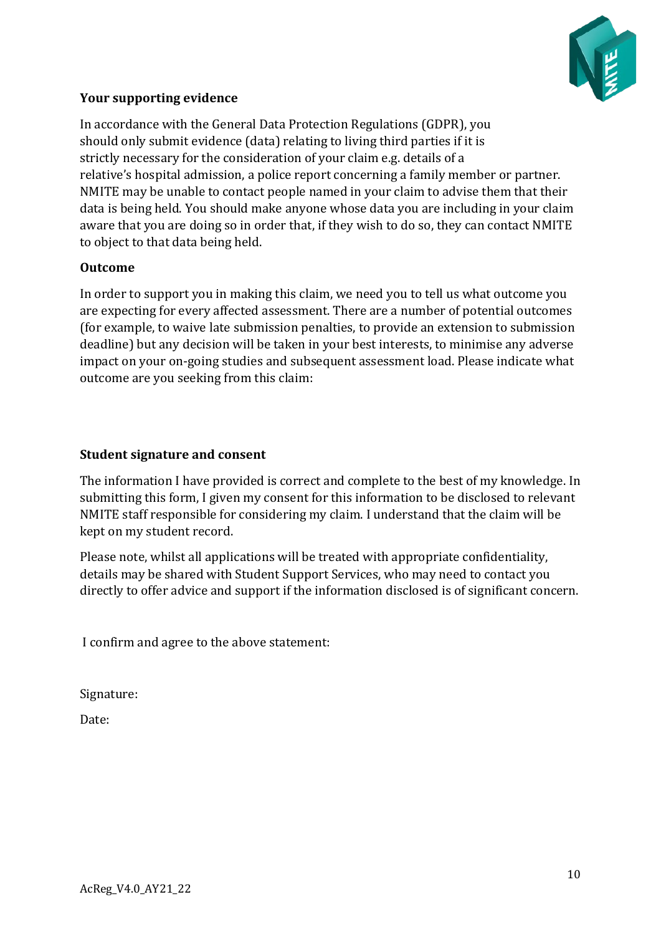

#### **Your supporting evidence**

In accordance with the General Data Protection Regulations (GDPR), you should only submit evidence (data) relating to living third parties if it is strictly necessary for the consideration of your claim e.g. details of a relative's hospital admission, a police report concerning a family member or partner. NMITE may be unable to contact people named in your claim to advise them that their data is being held. You should make anyone whose data you are including in your claim aware that you are doing so in order that, if they wish to do so, they can contact NMITE to object to that data being held.

#### **Outcome**

In order to support you in making this claim, we need you to tell us what outcome you are expecting for every affected assessment. There are a number of potential outcomes (for example, to waive late submission penalties, to provide an extension to submission deadline) but any decision will be taken in your best interests, to minimise any adverse impact on your on-going studies and subsequent assessment load. Please indicate what outcome are you seeking from this claim:

#### **Student signature and consent**

The information I have provided is correct and complete to the best of my knowledge. In submitting this form, I given my consent for this information to be disclosed to relevant NMITE staff responsible for considering my claim. I understand that the claim will be kept on my student record.

Please note, whilst all applications will be treated with appropriate confidentiality, details may be shared with Student Support Services, who may need to contact you directly to offer advice and support if the information disclosed is of significant concern.

I confirm and agree to the above statement:

Signature:

Date: